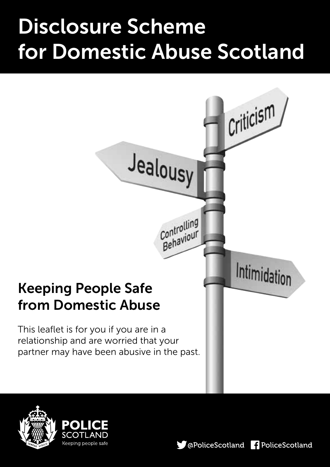# Disclosure Scheme for Domestic Abuse Scotland





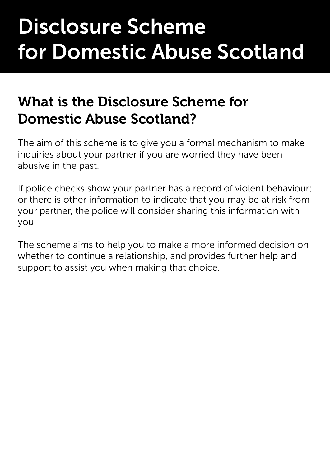# Disclosure Scheme for Domestic Abuse Scotland

### What is the Disclosure Scheme for Domestic Abuse Scotland?

The aim of this scheme is to give you a formal mechanism to make inquiries about your partner if you are worried they have been abusive in the past.

If police checks show your partner has a record of violent behaviour; or there is other information to indicate that you may be at risk from your partner, the police will consider sharing this information with you.

The scheme aims to help you to make a more informed decision on whether to continue a relationship, and provides further help and support to assist you when making that choice.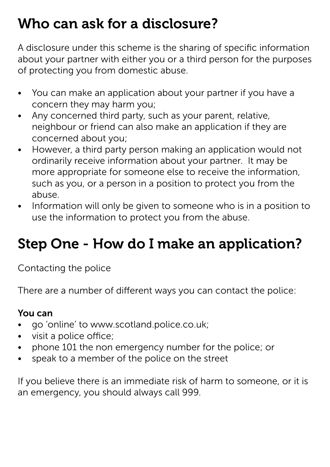### Who can ask for a disclosure?

A disclosure under this scheme is the sharing of specific information about your partner with either you or a third person for the purposes of protecting you from domestic abuse.

- You can make an application about your partner if you have a concern they may harm you;
- Any concerned third party, such as your parent, relative, neighbour or friend can also make an application if they are concerned about you;
- However, a third party person making an application would not ordinarily receive information about your partner. It may be more appropriate for someone else to receive the information, such as you, or a person in a position to protect you from the abuse.
- Information will only be given to someone who is in a position to use the information to protect you from the abuse.

# Step One - How do I make an application?

Contacting the police

There are a number of different ways you can contact the police:

#### You can

- go 'online' to www.scotland.police.co.uk;
- • visit a police office;
- phone 101 the non emergency number for the police; or
- speak to a member of the police on the street

If you believe there is an immediate risk of harm to someone, or it is an emergency, you should always call 999.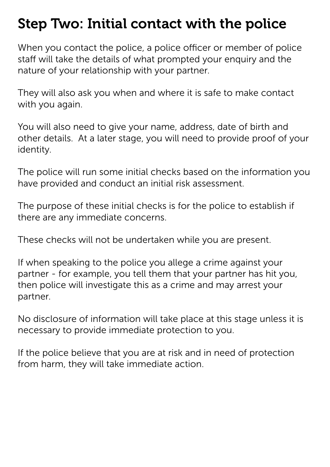### Step Two: Initial contact with the police

When you contact the police, a police officer or member of police staff will take the details of what prompted your enquiry and the nature of your relationship with your partner.

They will also ask you when and where it is safe to make contact with you again.

You will also need to give your name, address, date of birth and other details. At a later stage, you will need to provide proof of your identity.

The police will run some initial checks based on the information you have provided and conduct an initial risk assessment.

The purpose of these initial checks is for the police to establish if there are any immediate concerns.

These checks will not be undertaken while you are present.

If when speaking to the police you allege a crime against your partner - for example, you tell them that your partner has hit you, then police will investigate this as a crime and may arrest your partner.

No disclosure of information will take place at this stage unless it is necessary to provide immediate protection to you.

If the police believe that you are at risk and in need of protection from harm, they will take immediate action.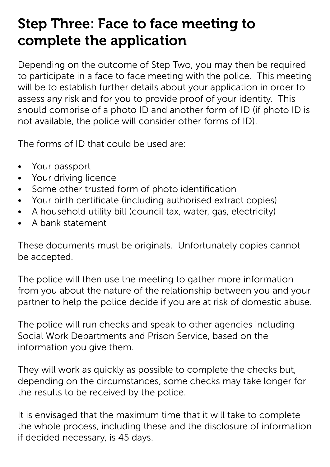# Step Three: Face to face meeting to complete the application

Depending on the outcome of Step Two, you may then be required to participate in a face to face meeting with the police. This meeting will be to establish further details about your application in order to assess any risk and for you to provide proof of your identity. This should comprise of a photo ID and another form of ID (if photo ID is not available, the police will consider other forms of ID).

The forms of ID that could be used are:

- • Your passport
- • Your driving licence
- Some other trusted form of photo identification
- Your birth certificate (including authorised extract copies)
- A household utility bill (council tax, water, gas, electricity)
- • A bank statement

These documents must be originals. Unfortunately copies cannot be accepted.

The police will then use the meeting to gather more information from you about the nature of the relationship between you and your partner to help the police decide if you are at risk of domestic abuse.

The police will run checks and speak to other agencies including Social Work Departments and Prison Service, based on the information you give them.

They will work as quickly as possible to complete the checks but, depending on the circumstances, some checks may take longer for the results to be received by the police.

It is envisaged that the maximum time that it will take to complete the whole process, including these and the disclosure of information if decided necessary, is 45 days.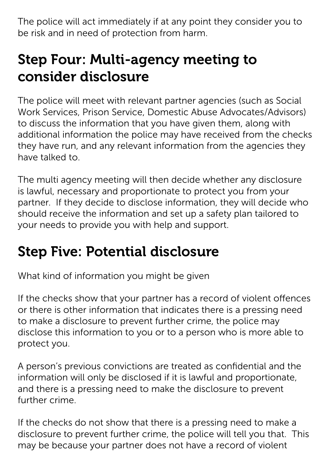The police will act immediately if at any point they consider you to be risk and in need of protection from harm.

# Step Four: Multi-agency meeting to consider disclosure

The police will meet with relevant partner agencies (such as Social Work Services, Prison Service, Domestic Abuse Advocates/Advisors) to discuss the information that you have given them, along with additional information the police may have received from the checks they have run, and any relevant information from the agencies they have talked to.

The multi agency meeting will then decide whether any disclosure is lawful, necessary and proportionate to protect you from your partner. If they decide to disclose information, they will decide who should receive the information and set up a safety plan tailored to your needs to provide you with help and support.

# Step Five: Potential disclosure

What kind of information you might be given

If the checks show that your partner has a record of violent offences or there is other information that indicates there is a pressing need to make a disclosure to prevent further crime, the police may disclose this information to you or to a person who is more able to protect you.

A person's previous convictions are treated as confidential and the information will only be disclosed if it is lawful and proportionate, and there is a pressing need to make the disclosure to prevent further crime.

If the checks do not show that there is a pressing need to make a disclosure to prevent further crime, the police will tell you that. This may be because your partner does not have a record of violent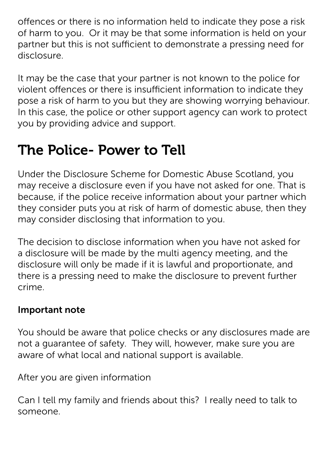offences or there is no information held to indicate they pose a risk of harm to you. Or it may be that some information is held on your partner but this is not sufficient to demonstrate a pressing need for disclosure.

It may be the case that your partner is not known to the police for violent offences or there is insufficient information to indicate they pose a risk of harm to you but they are showing worrying behaviour. In this case, the police or other support agency can work to protect you by providing advice and support.

# The Police- Power to Tell

Under the Disclosure Scheme for Domestic Abuse Scotland, you may receive a disclosure even if you have not asked for one. That is because, if the police receive information about your partner which they consider puts you at risk of harm of domestic abuse, then they may consider disclosing that information to you.

The decision to disclose information when you have not asked for a disclosure will be made by the multi agency meeting, and the disclosure will only be made if it is lawful and proportionate, and there is a pressing need to make the disclosure to prevent further crime.

#### Important note

You should be aware that police checks or any disclosures made are not a guarantee of safety. They will, however, make sure you are aware of what local and national support is available.

After you are given information

Can I tell my family and friends about this? I really need to talk to someone.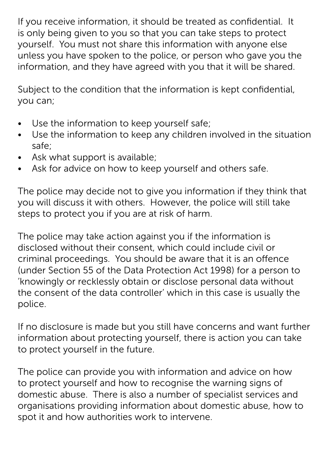If you receive information, it should be treated as confidential. It is only being given to you so that you can take steps to protect yourself. You must not share this information with anyone else unless you have spoken to the police, or person who gave you the information, and they have agreed with you that it will be shared.

Subject to the condition that the information is kept confidential, you can;

- Use the information to keep yourself safe;
- Use the information to keep any children involved in the situation safe;
- Ask what support is available;
- Ask for advice on how to keep yourself and others safe.

The police may decide not to give you information if they think that you will discuss it with others. However, the police will still take steps to protect you if you are at risk of harm.

The police may take action against you if the information is disclosed without their consent, which could include civil or criminal proceedings. You should be aware that it is an offence (under Section 55 of the Data Protection Act 1998) for a person to 'knowingly or recklessly obtain or disclose personal data without the consent of the data controller' which in this case is usually the police.

If no disclosure is made but you still have concerns and want further information about protecting yourself, there is action you can take to protect yourself in the future.

The police can provide you with information and advice on how to protect yourself and how to recognise the warning signs of domestic abuse. There is also a number of specialist services and organisations providing information about domestic abuse, how to spot it and how authorities work to intervene.